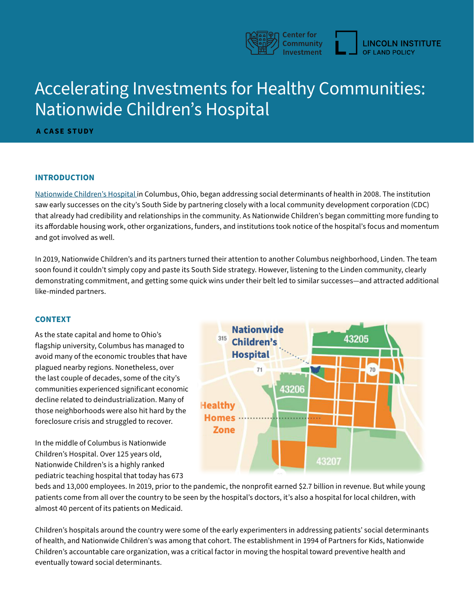

# Accelerating Investments for Healthy Communities: Nationwide Children's Hospital

**A CASE STUDY**

#### **INTRODUCTION**

[Nationwide Children's Hospital i](https://www.nationwidechildrens.org/)n Columbus, Ohio, began addressing social determinants of health in 2008. The institution saw early successes on the city's South Side by partnering closely with a local community development corporation (CDC) that already had credibility and relationships in the community. As Nationwide Children's began committing more funding to its affordable housing work, other organizations, funders, and institutions took notice of the hospital's focus and momentum and got involved as well.

In 2019, Nationwide Children's and its partners turned their attention to another Columbus neighborhood, Linden. The team soon found it couldn't simply copy and paste its South Side strategy. However, listening to the Linden community, clearly demonstrating commitment, and getting some quick wins under their belt led to similar successes—and attracted additional like-minded partners.

#### **CONTEXT**

As the state capital and home to Ohio's flagship university, Columbus has managed to avoid many of the economic troubles that have plagued nearby regions. Nonetheless, over the last couple of decades, some of the city's communities experienced significant economic decline related to deindustrialization. Many of those neighborhoods were also hit hard by the foreclosure crisis and struggled to recover.

In the middle of Columbus is Nationwide Children's Hospital. Over 125 years old, Nationwide Children's is a highly ranked pediatric teaching hospital that today has 673



beds and 13,000 employees. In 2019, prior to the pandemic, the nonprofit earned \$2.7 billion in revenue. But while young patients come from all over the country to be seen by the hospital's doctors, it's also a hospital for local children, with almost 40 percent of its patients on Medicaid.

Children's hospitals around the country were some of the early experimenters in addressing patients' social determinants of health, and Nationwide Children's was among that cohort. The establishment in 1994 of Partners for Kids, Nationwide Children's accountable care organization, was a critical factor in moving the hospital toward preventive health and eventually toward social determinants.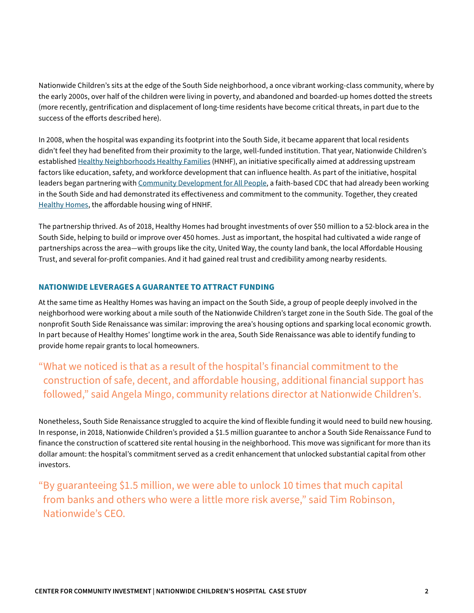Nationwide Children's sits at the edge of the South Side neighborhood, a once vibrant working-class community, where by the early 2000s, over half of the children were living in poverty, and abandoned and boarded-up homes dotted the streets (more recently, gentrification and displacement of long-time residents have become critical threats, in part due to the success of the efforts described here).

In 2008, when the hospital was expanding its footprint into the South Side, it became apparent that local residents didn't feel they had benefited from their proximity to the large, well-funded institution. That year, Nationwide Children's established [Healthy Neighborhoods Healthy Families](https://www.nationwidechildrens.org/about-us/population-health-and-wellness/healthy-neighborhoods-healthy-families) (HNHF), an initiative specifically aimed at addressing upstream factors like education, safety, and workforce development that can influence health. As part of the initiative, hospital leaders began partnering with [Community Development for All People](https://www.4allpeople.org/), a faith-based CDC that had already been working in the South Side and had demonstrated its effectiveness and commitment to the community. Together, they created [Healthy Homes](https://healthyhomescolumbus.org/), the affordable housing wing of HNHF.

The partnership thrived. As of 2018, Healthy Homes had brought investments of over \$50 million to a 52-block area in the South Side, helping to build or improve over 450 homes. Just as important, the hospital had cultivated a wide range of partnerships across the area—with groups like the city, United Way, the county land bank, the local Affordable Housing Trust, and several for-profit companies. And it had gained real trust and credibility among nearby residents.

## **NATIONWIDE LEVERAGES A GUARANTEE TO ATTRACT FUNDING**

At the same time as Healthy Homes was having an impact on the South Side, a group of people deeply involved in the neighborhood were working about a mile south of the Nationwide Children's target zone in the South Side. The goal of the nonprofit South Side Renaissance was similar: improving the area's housing options and sparking local economic growth. In part because of Healthy Homes' longtime work in the area, South Side Renaissance was able to identify funding to provide home repair grants to local homeowners.

"What we noticed is that as a result of the hospital's financial commitment to the construction of safe, decent, and affordable housing, additional financial support has followed," said Angela Mingo, community relations director at Nationwide Children's.

Nonetheless, South Side Renaissance struggled to acquire the kind of flexible funding it would need to build new housing. In response, in 2018, Nationwide Children's provided a \$1.5 million guarantee to anchor a South Side Renaissance Fund to finance the construction of scattered site rental housing in the neighborhood. This move was significant for more than its dollar amount: the hospital's commitment served as a credit enhancement that unlocked substantial capital from other investors.

"By guaranteeing \$1.5 million, we were able to unlock 10 times that much capital from banks and others who were a little more risk averse," said Tim Robinson, Nationwide's CEO.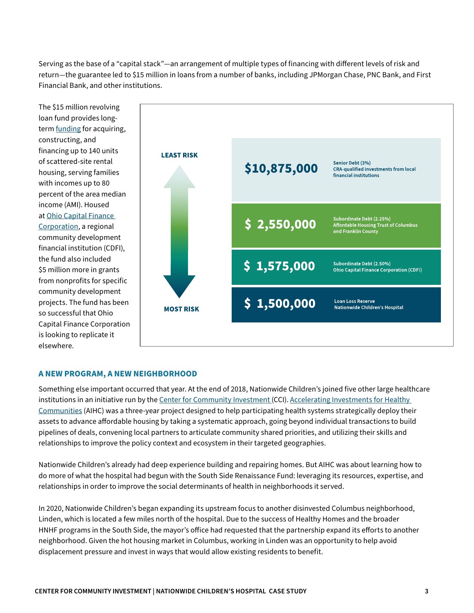Serving as the base of a "capital stack"—an arrangement of multiple types of financing with different levels of risk and return—the guarantee led to \$15 million in loans from a number of banks, including JPMorgan Chase, PNC Bank, and First Financial Bank, and other institutions.

The \$15 million revolving loan fund provides longterm [funding](https://www.dropbox.com/s/m2i2fjfn292xv2m/CCI_Nationwide_JohnWelty_003_V07_OC.mp4?dl=0) for acquiring, constructing, and financing up to 140 units of scattered-site rental housing, serving families with incomes up to 80 percent of the area median income (AMI). Housed at [Ohio Capital Finance](https://www.occh.org/)  [Corporation](https://www.occh.org/), a regional community development financial institution (CDFI), the fund also included \$5 million more in grants from nonprofits for specific community development projects. The fund has been so successful that Ohio Capital Finance Corporation is looking to replicate it elsewhere.



#### **A NEW PROGRAM, A NEW NEIGHBORHOOD**

Something else important occurred that year. At the end of 2018, Nationwide Children's joined five other large healthcare institutions in an initiative run by the [Center for Community Investment \(](https://centerforcommunityinvestment.org/)CCI). Accelerating Investments for Healthy [Communities](https://centerforcommunityinvestment.org/accelerating-investments-healthy-communities) (AIHC) was a three-year project designed to help participating health systems strategically deploy their assets to advance affordable housing by taking a systematic approach, going beyond individual transactions to build pipelines of deals, convening local partners to articulate community shared priorities, and utilizing their skills and relationships to improve the policy context and ecosystem in their targeted geographies.

Nationwide Children's already had deep experience building and repairing homes. But AIHC was about learning how to do more of what the hospital had begun with the South Side Renaissance Fund: leveraging its resources, expertise, and relationships in order to improve the social determinants of health in neighborhoods it served.

In 2020, Nationwide Children's began expanding its upstream focus to another disinvested Columbus neighborhood, Linden, which is located a few miles north of the hospital. Due to the success of Healthy Homes and the broader HNHF programs in the South Side, the mayor's office had requested that the partnership expand its efforts to another neighborhood. Given the hot housing market in Columbus, working in Linden was an opportunity to help avoid displacement pressure and invest in ways that would allow existing residents to benefit.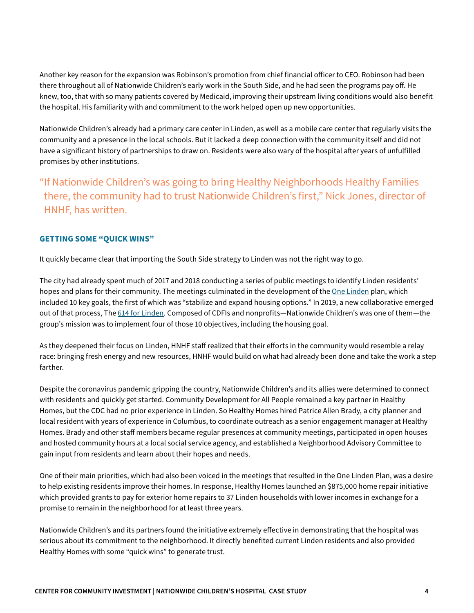Another key reason for the expansion was Robinson's promotion from chief financial officer to CEO. Robinson had been there throughout all of Nationwide Children's early work in the South Side, and he had seen the programs pay off. He knew, too, that with so many patients covered by Medicaid, improving their upstream living conditions would also benefit the hospital. His familiarity with and commitment to the work helped open up new opportunities.

Nationwide Children's already had a primary care center in Linden, as well as a mobile care center that regularly visits the community and a presence in the local schools. But it lacked a deep connection with the community itself and did not have a significant history of partnerships to draw on. Residents were also wary of the hospital after years of unfulfilled promises by other institutions.

"If Nationwide Children's was going to bring Healthy Neighborhoods Healthy Families there, the community had to trust Nationwide Children's first," Nick Jones, director of HNHF, has written.

### **GETTING SOME "QUICK WINS"**

It quickly became clear that importing the South Side strategy to Linden was not the right way to go.

The city had already spent much of 2017 and 2018 conducting a series of public meetings to identify Linden residents' hopes and plans for their community. The meetings culminated in the development of the [One Linden](https://www.onelinden.org/onelinden-plan) plan, which included 10 key goals, the first of which was "stabilize and expand housing options." In 2019, a new collaborative emerged out of that process, The [614 for Linden.](https://www.the614forlinden.org/) Composed of CDFIs and nonprofits—Nationwide Children's was one of them—the group's mission was to implement four of those 10 objectives, including the housing goal.

As they deepened their focus on Linden, HNHF staff realized that their efforts in the community would resemble a relay race: bringing fresh energy and new resources, HNHF would build on what had already been done and take the work a step farther.

Despite the coronavirus pandemic gripping the country, Nationwide Children's and its allies were determined to connect with residents and quickly get started. Community Development for All People remained a key partner in Healthy Homes, but the CDC had no prior experience in Linden. So Healthy Homes hired Patrice Allen Brady, a city planner and local resident with years of experience in Columbus, to coordinate outreach as a senior engagement manager at Healthy Homes. Brady and other staff members became regular presences at community meetings, participated in open houses and hosted community hours at a local social service agency, and established a Neighborhood Advisory Committee to gain input from residents and learn about their hopes and needs.

One of their main priorities, which had also been voiced in the meetings that resulted in the One Linden Plan, was a desire to help existing residents improve their homes. In response, Healthy Homes launched an \$875,000 home repair initiative which provided grants to pay for exterior home repairs to 37 Linden households with lower incomes in exchange for a promise to remain in the neighborhood for at least three years.

Nationwide Children's and its partners found the initiative extremely effective in demonstrating that the hospital was serious about its commitment to the neighborhood. It directly benefited current Linden residents and also provided Healthy Homes with some "quick wins" to generate trust.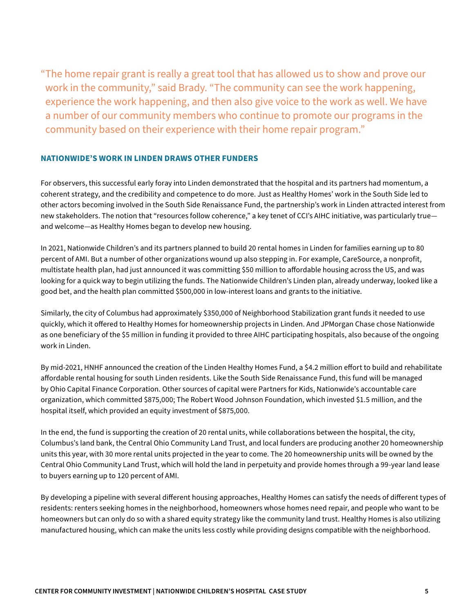"The home repair grant is really a great tool that has allowed us to show and prove our work in the community," said Brady. "The community can see the work happening, experience the work happening, and then also give voice to the work as well. We have a number of our community members who continue to promote our programs in the community based on their experience with their home repair program."

### **NATIONWIDE'S WORK IN LINDEN DRAWS OTHER FUNDERS**

For observers, this successful early foray into Linden demonstrated that the hospital and its partners had momentum, a coherent strategy, and the credibility and competence to do more. Just as Healthy Homes' work in the South Side led to other actors becoming involved in the South Side Renaissance Fund, the partnership's work in Linden attracted interest from new stakeholders. The notion that "resources follow coherence," a key tenet of CCI's AIHC initiative, was particularly true and welcome—as Healthy Homes began to develop new housing.

In 2021, Nationwide Children's and its partners planned to build 20 rental homes in Linden for families earning up to 80 percent of AMI. But a number of other organizations wound up also stepping in. For example, CareSource, a nonprofit, multistate health plan, had just announced it was committing \$50 million to affordable housing across the US, and was looking for a quick way to begin utilizing the funds. The Nationwide Children's Linden plan, already underway, looked like a good bet, and the health plan committed \$500,000 in low-interest loans and grants to the initiative.

Similarly, the city of Columbus had approximately \$350,000 of Neighborhood Stabilization grant funds it needed to use quickly, which it offered to Healthy Homes for homeownership projects in Linden. And JPMorgan Chase chose Nationwide as one beneficiary of the \$5 million in funding it provided to three AIHC participating hospitals, also because of the ongoing work in Linden.

By mid-2021, HNHF announced the creation of the Linden Healthy Homes Fund, a \$4.2 million effort to build and rehabilitate affordable rental housing for south Linden residents. Like the South Side Renaissance Fund, this fund will be managed by Ohio Capital Finance Corporation. Other sources of capital were Partners for Kids, Nationwide's accountable care organization, which committed \$875,000; The Robert Wood Johnson Foundation, which invested \$1.5 million, and the hospital itself, which provided an equity investment of \$875,000.

In the end, the fund is supporting the creation of 20 rental units, while collaborations between the hospital, the city, Columbus's land bank, the Central Ohio Community Land Trust, and local funders are producing another 20 homeownership units this year, with 30 more rental units projected in the year to come. The 20 homeownership units will be owned by the Central Ohio Community Land Trust, which will hold the land in perpetuity and provide homes through a 99-year land lease to buyers earning up to 120 percent of AMI.

By developing a pipeline with several different housing approaches, Healthy Homes can satisfy the needs of different types of residents: renters seeking homes in the neighborhood, homeowners whose homes need repair, and people who want to be homeowners but can only do so with a shared equity strategy like the community land trust. Healthy Homes is also utilizing manufactured housing, which can make the units less costly while providing designs compatible with the neighborhood.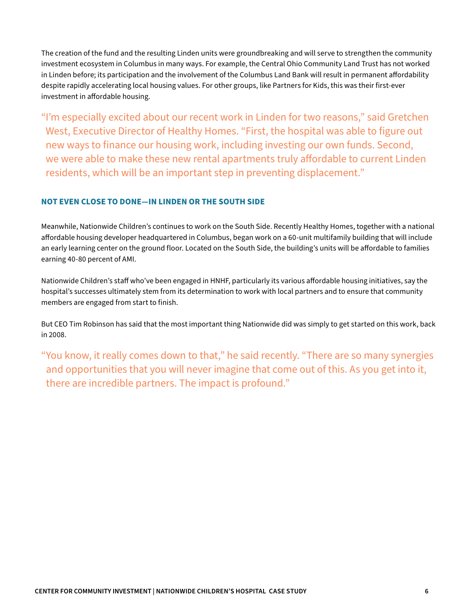The creation of the fund and the resulting Linden units were groundbreaking and will serve to strengthen the community investment ecosystem in Columbus in many ways. For example, the Central Ohio Community Land Trust has not worked in Linden before; its participation and the involvement of the Columbus Land Bank will result in permanent affordability despite rapidly accelerating local housing values. For other groups, like Partners for Kids, this was their first-ever investment in affordable housing.

"I'm especially excited about our recent work in Linden for two reasons," said Gretchen West, Executive Director of Healthy Homes. "First, the hospital was able to figure out new ways to finance our housing work, including investing our own funds. Second, we were able to make these new rental apartments truly affordable to current Linden residents, which will be an important step in preventing displacement."

## **NOT EVEN CLOSE TO DONE—IN LINDEN OR THE SOUTH SIDE**

Meanwhile, Nationwide Children's continues to work on the South Side. Recently Healthy Homes, together with a national affordable housing developer headquartered in Columbus, began work on a 60-unit multifamily building that will include an early learning center on the ground floor. Located on the South Side, the building's units will be affordable to families earning 40-80 percent of AMI.

Nationwide Children's staff who've been engaged in HNHF, particularly its various affordable housing initiatives, say the hospital's successes ultimately stem from its determination to work with local partners and to ensure that community members are engaged from start to finish.

But CEO Tim Robinson has said that the most important thing Nationwide did was simply to get started on this work, back in 2008.

"You know, it really comes down to that," he said recently. "There are so many synergies and opportunities that you will never imagine that come out of this. As you get into it, there are incredible partners. The impact is profound."